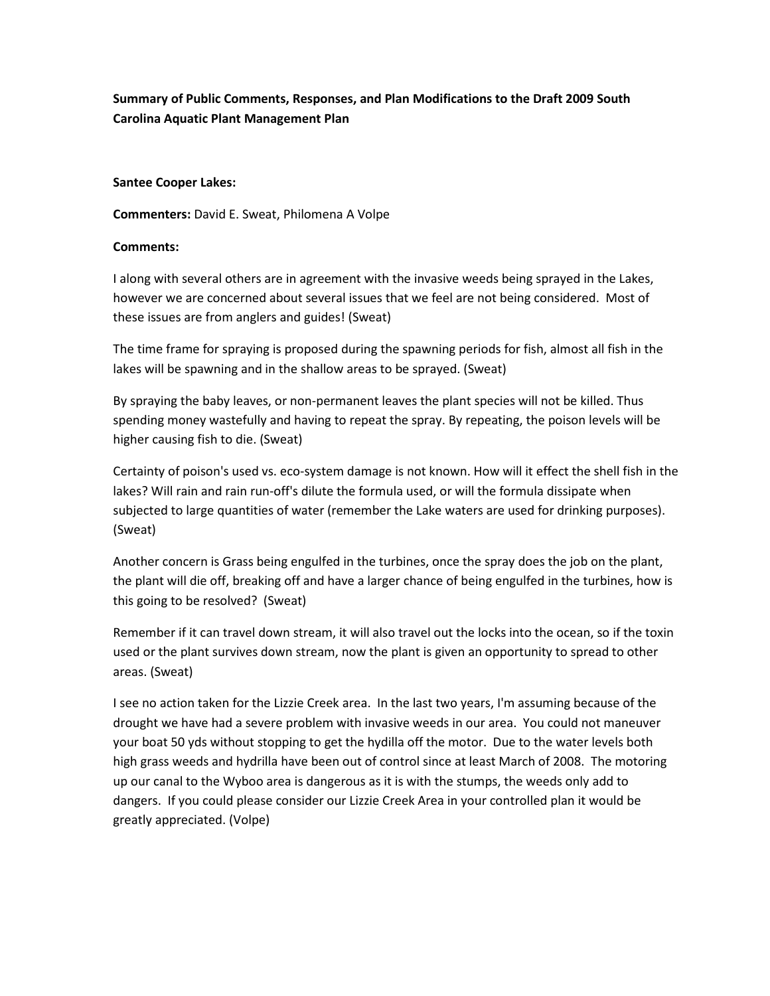**Summary of Public Comments, Responses, and Plan Modifications to the Draft 2009 South Carolina Aquatic Plant Management Plan**

## **Santee Cooper Lakes:**

**Commenters:** David E. Sweat, Philomena A Volpe

## **Comments:**

I along with several others are in agreement with the invasive weeds being sprayed in the Lakes, however we are concerned about several issues that we feel are not being considered. Most of these issues are from anglers and guides! (Sweat)

The time frame for spraying is proposed during the spawning periods for fish, almost all fish in the lakes will be spawning and in the shallow areas to be sprayed. (Sweat)

By spraying the baby leaves, or non-permanent leaves the plant species will not be killed. Thus spending money wastefully and having to repeat the spray. By repeating, the poison levels will be higher causing fish to die. (Sweat)

Certainty of poison's used vs. eco-system damage is not known. How will it effect the shell fish in the lakes? Will rain and rain run-off's dilute the formula used, or will the formula dissipate when subjected to large quantities of water (remember the Lake waters are used for drinking purposes). (Sweat)

Another concern is Grass being engulfed in the turbines, once the spray does the job on the plant, the plant will die off, breaking off and have a larger chance of being engulfed in the turbines, how is this going to be resolved? (Sweat)

Remember if it can travel down stream, it will also travel out the locks into the ocean, so if the toxin used or the plant survives down stream, now the plant is given an opportunity to spread to other areas. (Sweat)

I see no action taken for the Lizzie Creek area. In the last two years, I'm assuming because of the drought we have had a severe problem with invasive weeds in our area. You could not maneuver your boat 50 yds without stopping to get the hydilla off the motor. Due to the water levels both high grass weeds and hydrilla have been out of control since at least March of 2008. The motoring up our canal to the Wyboo area is dangerous as it is with the stumps, the weeds only add to dangers. If you could please consider our Lizzie Creek Area in your controlled plan it would be greatly appreciated. (Volpe)